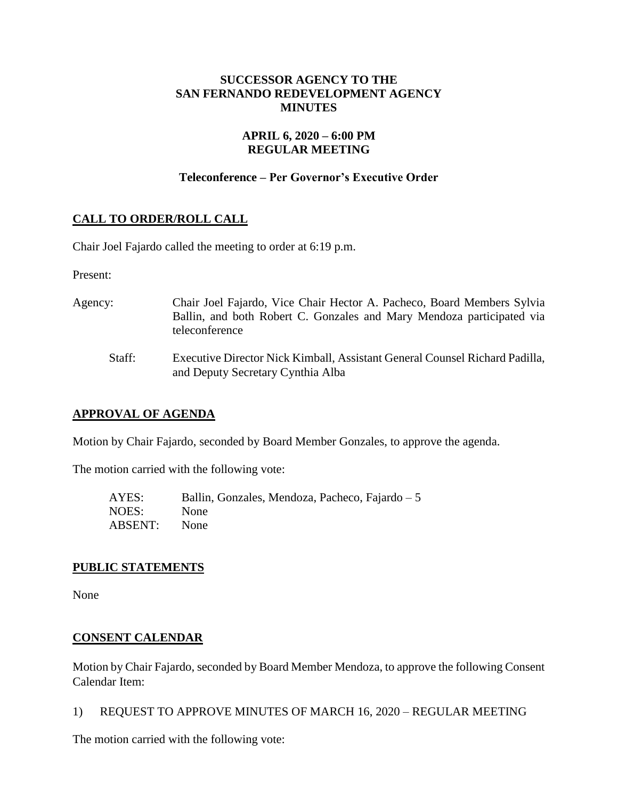## **SUCCESSOR AGENCY TO THE SAN FERNANDO REDEVELOPMENT AGENCY MINUTES**

## **APRIL 6, 2020 – 6:00 PM REGULAR MEETING**

## **Teleconference – Per Governor's Executive Order**

# **CALL TO ORDER/ROLL CALL**

Chair Joel Fajardo called the meeting to order at 6:19 p.m.

Present:

Agency: Chair Joel Fajardo, Vice Chair Hector A. Pacheco, Board Members Sylvia Ballin, and both Robert C. Gonzales and Mary Mendoza participated via teleconference Staff: Executive Director Nick Kimball, Assistant General Counsel Richard Padilla, and Deputy Secretary Cynthia Alba

## **APPROVAL OF AGENDA**

Motion by Chair Fajardo, seconded by Board Member Gonzales, to approve the agenda.

The motion carried with the following vote:

| AYES:          | Ballin, Gonzales, Mendoza, Pacheco, Fajardo – 5 |
|----------------|-------------------------------------------------|
| NOES:          | <b>None</b>                                     |
| <b>ABSENT:</b> | <b>None</b>                                     |

#### **PUBLIC STATEMENTS**

None

#### **CONSENT CALENDAR**

Motion by Chair Fajardo, seconded by Board Member Mendoza, to approve the following Consent Calendar Item:

1) REQUEST TO APPROVE MINUTES OF MARCH 16, 2020 – REGULAR MEETING

The motion carried with the following vote: